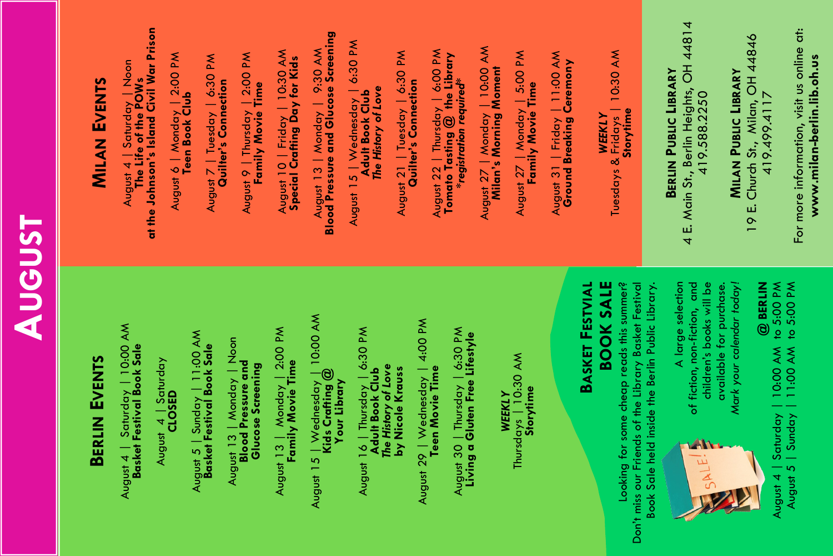| <b>AUGUST</b> | <b>MILAN EVENTS</b> |                                                                                                            | August 6   Monday   2:00 PM<br><b>Teen Book Club</b><br>August 7   Tuesday   6:30 PM<br><b>Quilter's Connection</b>                                 | August 10   Friday   10:30 AM<br><b>Special Crafting Day for Kids</b><br>August 9   Thursday   2:00 PM<br><b>Family Movie Time</b> | August 13   Monday   9:30 AM<br>Blood Pressure and Glucose Screening              | August 1 <i>5</i>   Wednesday   6:30 PM<br><b>Adult Book Club</b><br>The History of Love<br>August 21   Tuesday   6:30 PM<br>Quilter's Connection | August 22   Thursday   6:00 PM<br><b>Tomato Tasting @ the Library</b><br><b>*registration required*</b>                               | August 27   Monday   10:00 AM<br><b>Milan's Morning Moment</b><br>August 27   Monday   5:00 PM<br>Family Movie Time | Tuesdays & Fridays   10:30 AM<br>  Friday   11:00 AM<br>Ground Breaking Ceremony<br><b>WEEKLY</b><br>August 31 | Storytime                                                                                                 | 4 E. Main St., Berlin Heights, OH 44814<br><b>BERLIN PUBLIC LIBRARY</b><br>419.588.2250 | 19 E. Church St., Milan, OH 44846<br>419.499.4117<br><b>MILAN PUBLIC LIBRARY</b>                                                                                    | For more information, visit us online at:<br>www.milan-berlin.lib.oh.us |
|---------------|---------------------|------------------------------------------------------------------------------------------------------------|-----------------------------------------------------------------------------------------------------------------------------------------------------|------------------------------------------------------------------------------------------------------------------------------------|-----------------------------------------------------------------------------------|---------------------------------------------------------------------------------------------------------------------------------------------------|---------------------------------------------------------------------------------------------------------------------------------------|---------------------------------------------------------------------------------------------------------------------|----------------------------------------------------------------------------------------------------------------|-----------------------------------------------------------------------------------------------------------|-----------------------------------------------------------------------------------------|---------------------------------------------------------------------------------------------------------------------------------------------------------------------|-------------------------------------------------------------------------|
|               | BERLIN EVENTS       | August 4   Saturday   10:00 AM<br><b>Basket Festival Book Sale</b><br>August 4   Saturday<br><b>CLOSED</b> | $\overline{)11.00}$ AM<br>August 13   Monday   Noon<br><b>Blood Pressure and</b><br>August 5   Sunday   11:00 A<br><b>Basket Festival Book Sale</b> | August 13   Monday   2:00 PM<br><b>Family Movie Time</b><br><b>Glucose Screening</b>                                               | August 15   Wednesday   10:00 AM<br><b>Kids Crafting @</b><br><b>Your Library</b> | August 16   Thursday   6:30 PM<br>  <b>Adult Book Club</b><br>  The History of Love<br>  by Nicole Krauss                                         | August 29   Wednesday   4:00 PM<br><b>Teen Movie Time</b><br>August 30   Thursday   6:30 PM<br>Livin <b>g a Gluten Free Lifestyle</b> | Thursdays   10:30 AM<br><b>Storytime</b><br><b>WEEKLY</b>                                                           | <b>BASKET FESTVIAL</b><br><b>BOOK SALE</b><br>Looking for some cheap reads this summer?                        | Don't miss our Friends of the Library Basket Festival<br>Book Sale held inside the Berlin Public Library. | A large selection<br>children's books will be<br>of fiction, non-fiction, and<br>ALE!   | Mark your calendar today!<br>@ BERLIN<br>ugust 4   Saturday   10:00 AM to 5:00 PM<br>August 5   Sunday   11:00 AM to 5:00 PM<br>available for purchase.<br>August 4 |                                                                         |